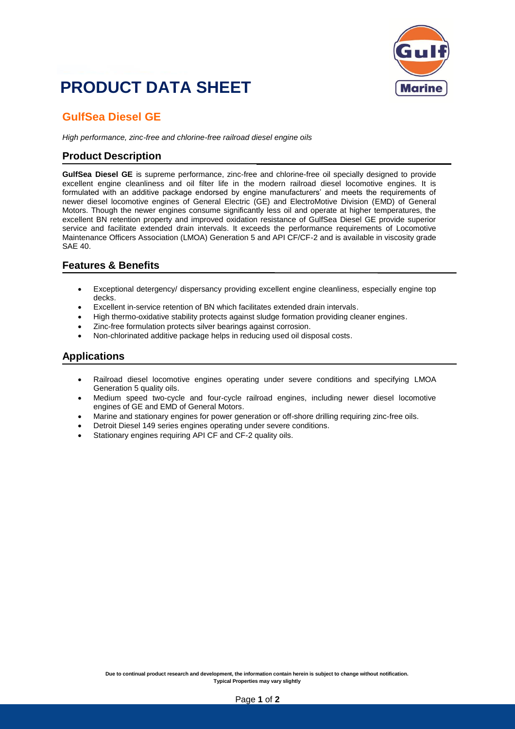## **PRODUCT DATA SHEET**



### **GulfSea Diesel GE**

*High performance, zinc-free and chlorine-free railroad diesel engine oils*

#### **Product Description**

**GulfSea Diesel GE** is supreme performance, zinc-free and chlorine-free oil specially designed to provide excellent engine cleanliness and oil filter life in the modern railroad diesel locomotive engines. It is formulated with an additive package endorsed by engine manufacturers' and meets the requirements of newer diesel locomotive engines of General Electric (GE) and ElectroMotive Division (EMD) of General Motors. Though the newer engines consume significantly less oil and operate at higher temperatures, the excellent BN retention property and improved oxidation resistance of GulfSea Diesel GE provide superior service and facilitate extended drain intervals. It exceeds the performance requirements of Locomotive Maintenance Officers Association (LMOA) Generation 5 and API CF/CF-2 and is available in viscosity grade SAE 40.

#### **Features & Benefits**

- Exceptional detergency/ dispersancy providing excellent engine cleanliness, especially engine top decks.
- Excellent in-service retention of BN which facilitates extended drain intervals.
- High thermo-oxidative stability protects against sludge formation providing cleaner engines.
- Zinc-free formulation protects silver bearings against corrosion.
- Non-chlorinated additive package helps in reducing used oil disposal costs.

#### **Applications**

- Railroad diesel locomotive engines operating under severe conditions and specifying LMOA Generation 5 quality oils.
- Medium speed two-cycle and four-cycle railroad engines, including newer diesel locomotive engines of GE and EMD of General Motors.
- Marine and stationary engines for power generation or off-shore drilling requiring zinc-free oils.
- Detroit Diesel 149 series engines operating under severe conditions.
- Stationary engines requiring API CF and CF-2 quality oils.